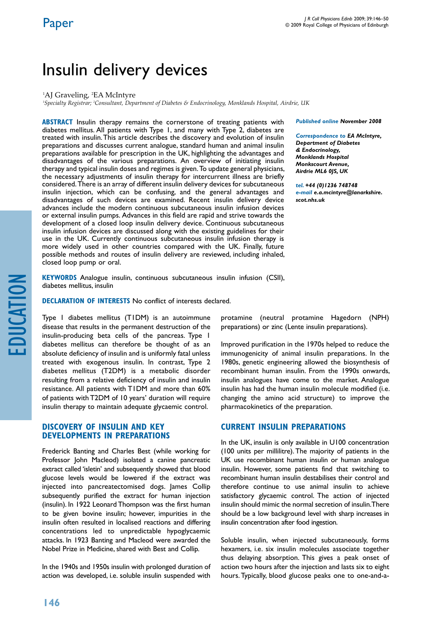# Insulin delivery devices

#### <sup>1</sup>AJ Graveling, <sup>2</sup>EA McIntyre

*1 Specialty Registrar; 2 Consultant, Department of Diabetes & Endocrinology, Monklands Hospital, Airdrie, UK*

**ABSTRACT** Insulin therapy remains the cornerstone of treating patients with diabetes mellitus. All patients with Type 1, and many with Type 2, diabetes are treated with insulin. This article describes the discovery and evolution of insulin preparations and discusses current analogue, standard human and animal insulin preparations available for prescription in the UK, highlighting the advantages and disadvantages of the various preparations. An overview of initiating insulin therapy and typical insulin doses and regimes is given. To update general physicians, the necessary adjustments of insulin therapy for intercurrent illness are briefly considered. There is an array of different insulin delivery devices for subcutaneous insulin injection, which can be confusing, and the general advantages and disadvantages of such devices are examined. Recent insulin delivery device advances include the modern continuous subcutaneous insulin infusion devices or external insulin pumps. Advances in this field are rapid and strive towards the development of a closed loop insulin delivery device. Continuous subcutaneous insulin infusion devices are discussed along with the existing guidelines for their use in the UK. Currently continuous subcutaneous insulin infusion therapy is more widely used in other countries compared with the UK. Finally, future possible methods and routes of insulin delivery are reviewed, including inhaled, closed loop pump or oral.

*Published online November 2008* 

*Correspondence to EA McIntyre, Department of Diabetes & Endocrinology, Monklands Hospital Monkscourt Avenue, Airdrie ML6 0JS, UK*

*tel. +44 (0)1236 748748 e-mail e.a.mcintyre@lanarkshire. scot.nhs.uk*

education

**Keywords** Analogue insulin, continuous subcutaneous insulin infusion (CSII), diabetes mellitus, insulin

**Declaration of Interests** No conflict of interests declared.

Type 1 diabetes mellitus (T1DM) is an autoimmune disease that results in the permanent destruction of the insulin-producing beta cells of the pancreas. Type 1 diabetes mellitus can therefore be thought of as an absolute deficiency of insulin and is uniformly fatal unless treated with exogenous insulin. In contrast, Type 2 diabetes mellitus (T2DM) is a metabolic disorder resulting from a relative deficiency of insulin and insulin resistance. All patients with T1DM and more than 60% of patients with T2DM of 10 years' duration will require insulin therapy to maintain adequate glycaemic control.

# **Discovery of insulin and key developments in preparations**

Frederick Banting and Charles Best (while working for Professor John Macleod) isolated a canine pancreatic extract called 'isletin' and subsequently showed that blood glucose levels would be lowered if the extract was injected into pancreatectomised dogs. James Collip subsequently purified the extract for human injection (insulin). In 1922 Leonard Thompson was the first human to be given bovine insulin; however, impurities in the insulin often resulted in localised reactions and differing concentrations led to unpredictable hypoglycaemic attacks. In 1923 Banting and Macleod were awarded the Nobel Prize in Medicine, shared with Best and Collip.

In the 1940s and 1950s insulin with prolonged duration of action was developed, i.e. soluble insulin suspended with

protamine (neutral protamine Hagedorn (NPH) preparations) or zinc (Lente insulin preparations).

Improved purification in the 1970s helped to reduce the immunogenicity of animal insulin preparations. In the 1980s, genetic engineering allowed the biosynthesis of recombinant human insulin. From the 1990s onwards, insulin analogues have come to the market. Analogue insulin has had the human insulin molecule modified (i.e. changing the amino acid structure) to improve the pharmacokinetics of the preparation.

# **Current insulin preparations**

In the UK, insulin is only available in U100 concentration (100 units per millilitre). The majority of patients in the UK use recombinant human insulin or human analogue insulin. However, some patients find that switching to recombinant human insulin destabilises their control and therefore continue to use animal insulin to achieve satisfactory glycaemic control. The action of injected insulin should mimic the normal secretion of insulin. There should be a low background level with sharp increases in insulin concentration after food ingestion.

Soluble insulin, when injected subcutaneously, forms hexamers, i.e. six insulin molecules associate together thus delaying absorption. This gives a peak onset of action two hours after the injection and lasts six to eight hours. Typically, blood glucose peaks one to one-and-a-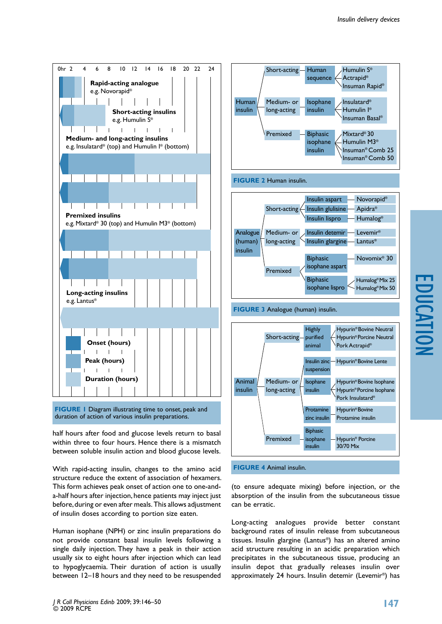

**FIGURE 1 Diagram illustrating time to onset, peak and** duration of action of various insulin preparations.

half hours after food and glucose levels return to basal within three to four hours. Hence there is a mismatch between soluble insulin action and blood glucose levels.

With rapid-acting insulin, changes to the amino acid structure reduce the extent of association of hexamers. This form achieves peak onset of action one to one-anda-half hours after injection, hence patients may inject just before, during or even after meals. This allows adjustment of insulin doses according to portion size eaten.

Human isophane (NPH) or zinc insulin preparations do not provide constant basal insulin levels following a single daily injection. They have a peak in their action usually six to eight hours after injection which can lead to hypoglycaemia. Their duration of action is usually between 12–18 hours and they need to be resuspended



(to ensure adequate mixing) before injection, or the absorption of the insulin from the subcutaneous tissue can be erratic.

Long-acting analogues provide better constant background rates of insulin release from subcutaneous tissues. Insulin glargine (Lantus®) has an altered amino acid structure resulting in an acidic preparation which precipitates in the subcutaneous tissue, producing an insulin depot that gradually releases insulin over approximately 24 hours. Insulin detemir (Levemir®) has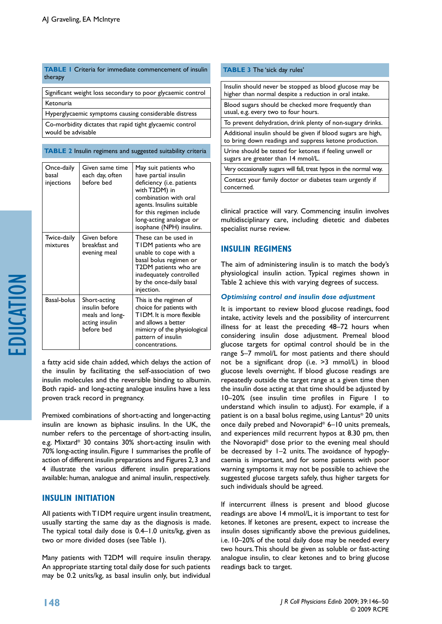#### **TABLE 1** Criteria for immediate commencement of insulin therapy

Significant weight loss secondary to poor glycaemic control Ketonuria

Hyperglycaemic symptoms causing considerable distress Co-morbidity dictates that rapid tight glycaemic control would be advisable

#### **TABLE 2** Insulin regimens and suggested suitability criteria

| Once-daily<br>hasal<br>injections | Given same time<br>each day, often<br>before bed                                  | May suit patients who<br>have partial insulin<br>deficiency (i.e. patients<br>with T2DM) in<br>combination with oral<br>agents. Insulins suitable<br>for this regimen include<br>long-acting analogue or<br>isophane (NPH) insulins. |
|-----------------------------------|-----------------------------------------------------------------------------------|--------------------------------------------------------------------------------------------------------------------------------------------------------------------------------------------------------------------------------------|
| Twice-daily<br>mixtures           | Given before<br>breakfast and<br>evening meal                                     | These can be used in<br>TIDM patients who are<br>unable to cope with a<br>basal bolus regimen or<br>T2DM patients who are<br>inadequately controlled<br>by the once-daily basal<br>injection.                                        |
| Basal-bolus                       | Short-acting<br>insulin before<br>meals and long-<br>acting insulin<br>before bed | This is the regimen of<br>choice for patients with<br>TIDM, It is more flexible<br>and allows a better<br>mimicry of the physiological<br>pattern of insulin<br>concentrations.                                                      |

a fatty acid side chain added, which delays the action of the insulin by facilitating the self-association of two insulin molecules and the reversible binding to albumin. Both rapid- and long-acting analogue insulins have a less proven track record in pregnancy.

Premixed combinations of short-acting and longer-acting insulin are known as biphasic insulins. In the UK, the number refers to the percentage of short-acting insulin, e.g. Mixtard® 30 contains 30% short-acting insulin with 70% long-acting insulin. Figure 1 summarises the profile of action of different insulin preparations and Figures 2, 3 and 4 illustrate the various different insulin preparations available: human, analogue and animal insulin, respectively.

# **Insulin initiation**

All patients with T1DM require urgent insulin treatment, usually starting the same day as the diagnosis is made. The typical total daily dose is 0.4–1.0 units/kg, given as two or more divided doses (see Table 1).

Many patients with T2DM will require insulin therapy. An appropriate starting total daily dose for such patients may be 0.2 units/kg, as basal insulin only, but individual

#### **TABLE 3 The 'sick day rules'**

| Insulin should never be stopped as blood glucose may be<br>higher than normal despite a reduction in oral intake.      |  |
|------------------------------------------------------------------------------------------------------------------------|--|
| Blood sugars should be checked more frequently than<br>usual, e.g. every two to four hours.                            |  |
| To prevent dehydration, drink plenty of non-sugary drinks.                                                             |  |
| Additional insulin should be given if blood sugars are high,<br>to bring down readings and suppress ketone production. |  |
| Urine should be tested for ketones if feeling unwell or<br>sugars are greater than 14 mmol/L.                          |  |
| Very occasionally sugars will fall, treat hypos in the normal way.                                                     |  |
| Contact your family doctor or diabetes team urgently if<br>concerned.                                                  |  |

clinical practice will vary. Commencing insulin involves multidisciplinary care, including dietetic and diabetes specialist nurse review.

# **Insulin regimens**

The aim of administering insulin is to match the body's physiological insulin action. Typical regimes shown in Table 2 achieve this with varying degrees of success.

# *Optimising control and insulin dose adjustment*

It is important to review blood glucose readings, food intake, activity levels and the possibility of intercurrent illness for at least the preceding 48–72 hours when considering insulin dose adjustment. Premeal blood glucose targets for optimal control should be in the range 5–7 mmol/L for most patients and there should not be a significant drop (i.e. >3 mmol/L) in blood glucose levels overnight. If blood glucose readings are repeatedly outside the target range at a given time then the insulin dose acting at that time should be adjusted by 10–20% (see insulin time profiles in Figure 1 to understand which insulin to adjust). For example, if a patient is on a basal bolus regime, using Lantus® 20 units once daily prebed and Novorapid® 6–10 units premeals, and experiences mild recurrent hypos at 8.30 pm, then the Novorapid® dose prior to the evening meal should be decreased by 1–2 units. The avoidance of hypoglycaemia is important, and for some patients with poor warning symptoms it may not be possible to achieve the suggested glucose targets safely, thus higher targets for such individuals should be agreed.

If intercurrent illness is present and blood glucose readings are above 14 mmol/L, it is important to test for ketones. If ketones are present, expect to increase the insulin doses significantly above the previous guidelines, i.e. 10–20% of the total daily dose may be needed every two hours. This should be given as soluble or fast-acting analogue insulin, to clear ketones and to bring glucose readings back to target.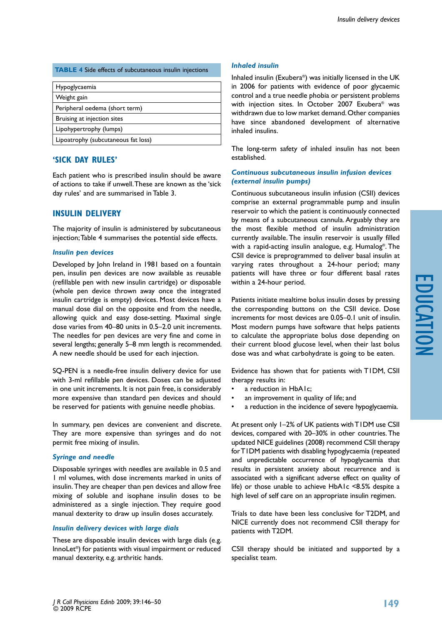#### **TABLE 4** Side effects of subcutaneous insulin injections

| Hypoglycaemia                       |  |
|-------------------------------------|--|
| Weight gain                         |  |
| Peripheral oedema (short term)      |  |
| Bruising at injection sites         |  |
| Lipohypertrophy (lumps)             |  |
| Lipoatrophy (subcutaneous fat loss) |  |
|                                     |  |

# **'Sick Day Rules'**

Each patient who is prescribed insulin should be aware of actions to take if unwell. These are known as the 'sick day rules' and are summarised in Table 3.

# **Insulin delivery**

The majority of insulin is administered by subcutaneous injection; Table 4 summarises the potential side effects.

#### *Insulin pen devices*

Developed by John Ireland in 1981 based on a fountain pen, insulin pen devices are now available as reusable (refillable pen with new insulin cartridge) or disposable (whole pen device thrown away once the integrated insulin cartridge is empty) devices. Most devices have a manual dose dial on the opposite end from the needle, allowing quick and easy dose-setting. Maximal single dose varies from 40–80 units in 0.5–2.0 unit increments. The needles for pen devices are very fine and come in several lengths; generally 5–8 mm length is recommended. A new needle should be used for each injection.

SQ-PEN is a needle-free insulin delivery device for use with 3-ml refillable pen devices. Doses can be adjusted in one unit increments. It is not pain free, is considerably more expensive than standard pen devices and should be reserved for patients with genuine needle phobias.

In summary, pen devices are convenient and discrete. They are more expensive than syringes and do not permit free mixing of insulin.

#### *Syringe and needle*

Disposable syringes with needles are available in 0.5 and 1 ml volumes, with dose increments marked in units of insulin. They are cheaper than pen devices and allow free mixing of soluble and isophane insulin doses to be administered as a single injection. They require good manual dexterity to draw up insulin doses accurately.

#### *Insulin delivery devices with large dials*

These are disposable insulin devices with large dials (e.g. InnoLet®) for patients with visual impairment or reduced manual dexterity, e.g. arthritic hands.

### *Inhaled insulin*

Inhaled insulin (Exubera®) was initially licensed in the UK in 2006 for patients with evidence of poor glycaemic control and a true needle phobia or persistent problems with injection sites. In October 2007 Exubera® was withdrawn due to low market demand. Other companies have since abandoned development of alternative inhaled insulins.

The long-term safety of inhaled insulin has not been established.

### *Continuous subcutaneous insulin infusion devices (external insulin pumps)*

Continuous subcutaneous insulin infusion (CSII) devices comprise an external programmable pump and insulin reservoir to which the patient is continuously connected by means of a subcutaneous cannula. Arguably they are the most flexible method of insulin administration currently available. The insulin reservoir is usually filled with a rapid-acting insulin analogue, e.g. Humalog®. The CSII device is preprogrammed to deliver basal insulin at varying rates throughout a 24-hour period; many patients will have three or four different basal rates within a 24-hour period.

Patients initiate mealtime bolus insulin doses by pressing the corresponding buttons on the CSII device. Dose increments for most devices are 0.05–0.1 unit of insulin. Most modern pumps have software that helps patients to calculate the appropriate bolus dose depending on their current blood glucose level, when their last bolus dose was and what carbohydrate is going to be eaten.

Evidence has shown that for patients with T1DM, CSII therapy results in:

- a reduction in HbA1c;
- an improvement in quality of life; and
- a reduction in the incidence of severe hypoglycaemia.

At present only 1–2% of UK patients with T1DM use CSII devices, compared with 20–30% in other countries. The updated NICE guidelines (2008) recommend CSII therapy for T1DM patients with disabling hypoglycaemia (repeated and unpredictable occurrence of hypoglycaemia that results in persistent anxiety about recurrence and is associated with a significant adverse effect on quality of life) or those unable to achieve HbA1c <8.5% despite a high level of self care on an appropriate insulin regimen.

Trials to date have been less conclusive for T2DM, and NICE currently does not recommend CSII therapy for patients with T2DM.

CSII therapy should be initiated and supported by a specialist team.